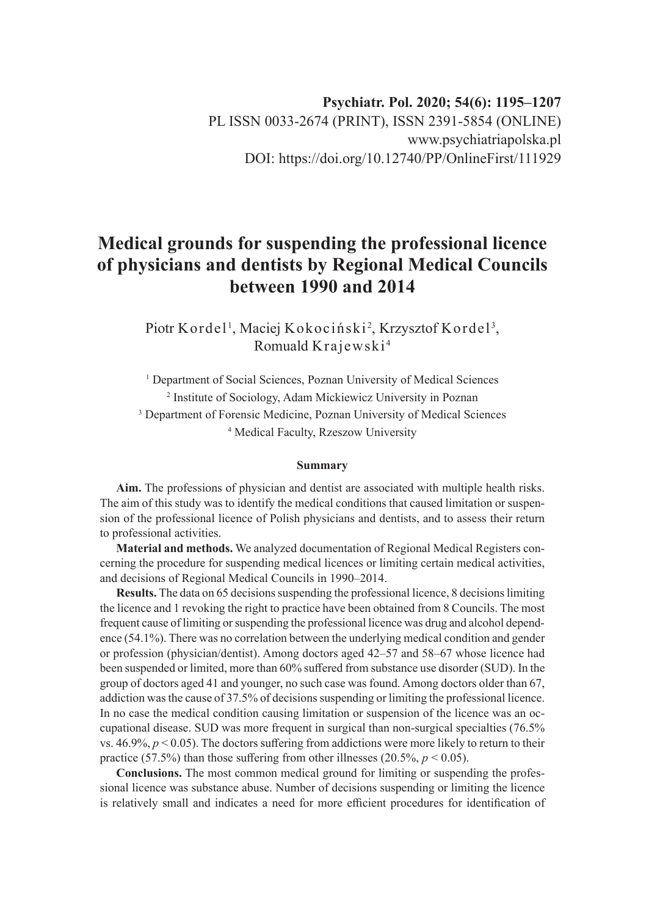# **Medical grounds for suspending the professional licence of physicians and dentists by Regional Medical Councils between 1990 and 2014**

Piotr Kordel<sup>1</sup>, Maciej Kokociński<sup>2</sup>, Krzysztof Kordel<sup>3</sup>, Romuald Krajewski <sup>4</sup>

<sup>1</sup> Department of Social Sciences, Poznan University of Medical Sciences 2 Institute of Sociology, Adam Mickiewicz University in Poznan <sup>3</sup> Department of Forensic Medicine, Poznan University of Medical Sciences 4 Medical Faculty, Rzeszow University

#### **Summary**

**Aim.** The professions of physician and dentist are associated with multiple health risks. The aim of this study was to identify the medical conditions that caused limitation or suspension of the professional licence of Polish physicians and dentists, and to assess their return to professional activities.

**Material and methods.** We analyzed documentation of Regional Medical Registers concerning the procedure for suspending medical licences or limiting certain medical activities, and decisions of Regional Medical Councils in 1990–2014.

**Results.** The data on 65 decisions suspending the professional licence, 8 decisions limiting the licence and 1 revoking the right to practice have been obtained from 8 Councils. The most frequent cause of limiting or suspending the professional licence was drug and alcohol dependence (54.1%). There was no correlation between the underlying medical condition and gender or profession (physician/dentist). Among doctors aged 42–57 and 58–67 whose licence had been suspended or limited, more than 60% suffered from substance use disorder (SUD). In the group of doctors aged 41 and younger, no such case was found. Among doctors older than 67, addiction was the cause of 37.5% of decisions suspending or limiting the professional licence. In no case the medical condition causing limitation or suspension of the licence was an occupational disease. SUD was more frequent in surgical than non-surgical specialties (76.5% vs.  $46.9\%, p < 0.05$ ). The doctors suffering from addictions were more likely to return to their practice (57.5%) than those suffering from other illnesses (20.5%,  $p < 0.05$ ).

**Conclusions.** The most common medical ground for limiting or suspending the professional licence was substance abuse. Number of decisions suspending or limiting the licence is relatively small and indicates a need for more efficient procedures for identification of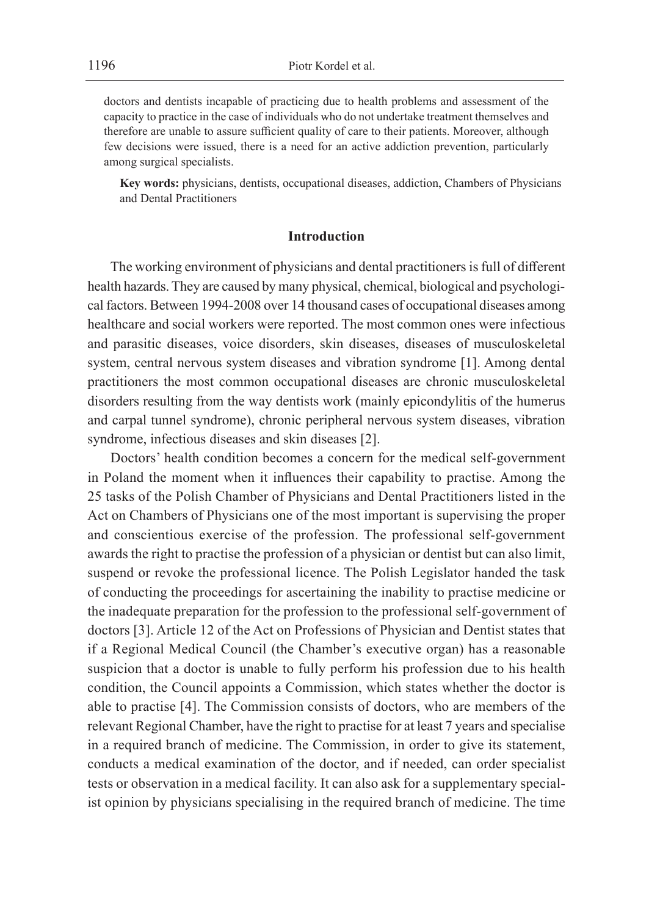doctors and dentists incapable of practicing due to health problems and assessment of the capacity to practice in the case of individuals who do not undertake treatment themselves and therefore are unable to assure sufficient quality of care to their patients. Moreover, although few decisions were issued, there is a need for an active addiction prevention, particularly among surgical specialists.

**Key words:** physicians, dentists, occupational diseases, addiction, Chambers of Physicians and Dental Practitioners

#### **Introduction**

The working environment of physicians and dental practitioners is full of different health hazards. They are caused by many physical, chemical, biological and psychological factors. Between 1994-2008 over 14 thousand cases of occupational diseases among healthcare and social workers were reported. The most common ones were infectious and parasitic diseases, voice disorders, skin diseases, diseases of musculoskeletal system, central nervous system diseases and vibration syndrome [1]. Among dental practitioners the most common occupational diseases are chronic musculoskeletal disorders resulting from the way dentists work (mainly epicondylitis of the humerus and carpal tunnel syndrome), chronic peripheral nervous system diseases, vibration syndrome, infectious diseases and skin diseases [2].

Doctors' health condition becomes a concern for the medical self-government in Poland the moment when it influences their capability to practise. Among the 25 tasks of the Polish Chamber of Physicians and Dental Practitioners listed in the Act on Chambers of Physicians one of the most important is supervising the proper and conscientious exercise of the profession. The professional self-government awards the right to practise the profession of a physician or dentist but can also limit, suspend or revoke the professional licence. The Polish Legislator handed the task of conducting the proceedings for ascertaining the inability to practise medicine or the inadequate preparation for the profession to the professional self-government of doctors [3]. Article 12 of the Act on Professions of Physician and Dentist states that if a Regional Medical Council (the Chamber's executive organ) has a reasonable suspicion that a doctor is unable to fully perform his profession due to his health condition, the Council appoints a Commission, which states whether the doctor is able to practise [4]. The Commission consists of doctors, who are members of the relevant Regional Chamber, have the right to practise for at least 7 years and specialise in a required branch of medicine. The Commission, in order to give its statement, conducts a medical examination of the doctor, and if needed, can order specialist tests or observation in a medical facility. It can also ask for a supplementary specialist opinion by physicians specialising in the required branch of medicine. The time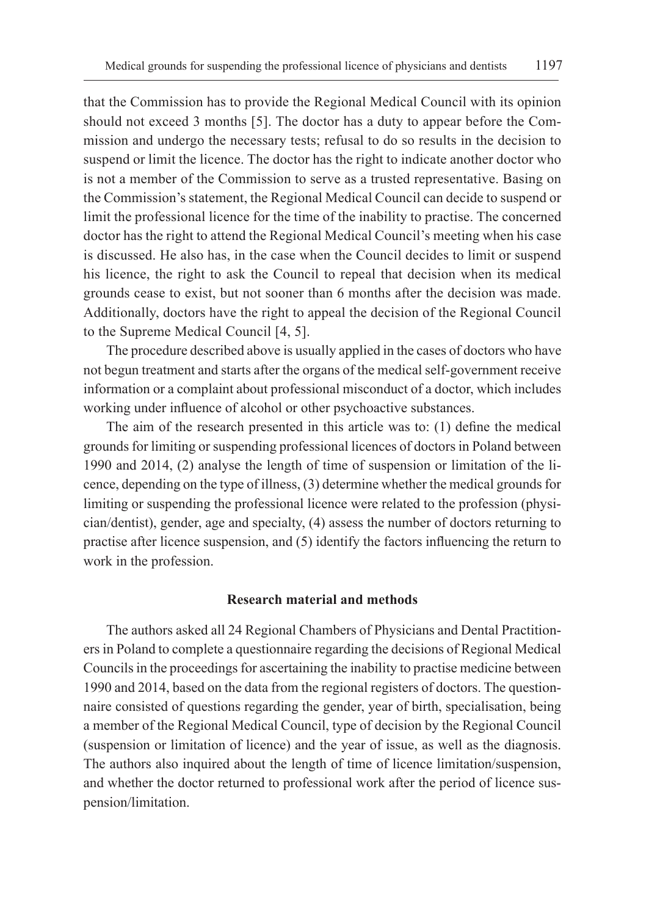that the Commission has to provide the Regional Medical Council with its opinion should not exceed 3 months [5]. The doctor has a duty to appear before the Commission and undergo the necessary tests; refusal to do so results in the decision to suspend or limit the licence. The doctor has the right to indicate another doctor who is not a member of the Commission to serve as a trusted representative. Basing on the Commission's statement, the Regional Medical Council can decide to suspend or limit the professional licence for the time of the inability to practise. The concerned doctor has the right to attend the Regional Medical Council's meeting when his case is discussed. He also has, in the case when the Council decides to limit or suspend his licence, the right to ask the Council to repeal that decision when its medical grounds cease to exist, but not sooner than 6 months after the decision was made. Additionally, doctors have the right to appeal the decision of the Regional Council to the Supreme Medical Council [4, 5].

The procedure described above is usually applied in the cases of doctors who have not begun treatment and starts after the organs of the medical self-government receive information or a complaint about professional misconduct of a doctor, which includes working under influence of alcohol or other psychoactive substances.

The aim of the research presented in this article was to: (1) define the medical grounds for limiting or suspending professional licences of doctors in Poland between 1990 and 2014, (2) analyse the length of time of suspension or limitation of the licence, depending on the type of illness, (3) determine whether the medical grounds for limiting or suspending the professional licence were related to the profession (physician/dentist), gender, age and specialty, (4) assess the number of doctors returning to practise after licence suspension, and (5) identify the factors influencing the return to work in the profession.

## **Research material and methods**

The authors asked all 24 Regional Chambers of Physicians and Dental Practitioners in Poland to complete a questionnaire regarding the decisions of Regional Medical Councils in the proceedings for ascertaining the inability to practise medicine between 1990 and 2014, based on the data from the regional registers of doctors. The questionnaire consisted of questions regarding the gender, year of birth, specialisation, being a member of the Regional Medical Council, type of decision by the Regional Council (suspension or limitation of licence) and the year of issue, as well as the diagnosis. The authors also inquired about the length of time of licence limitation/suspension, and whether the doctor returned to professional work after the period of licence suspension/limitation.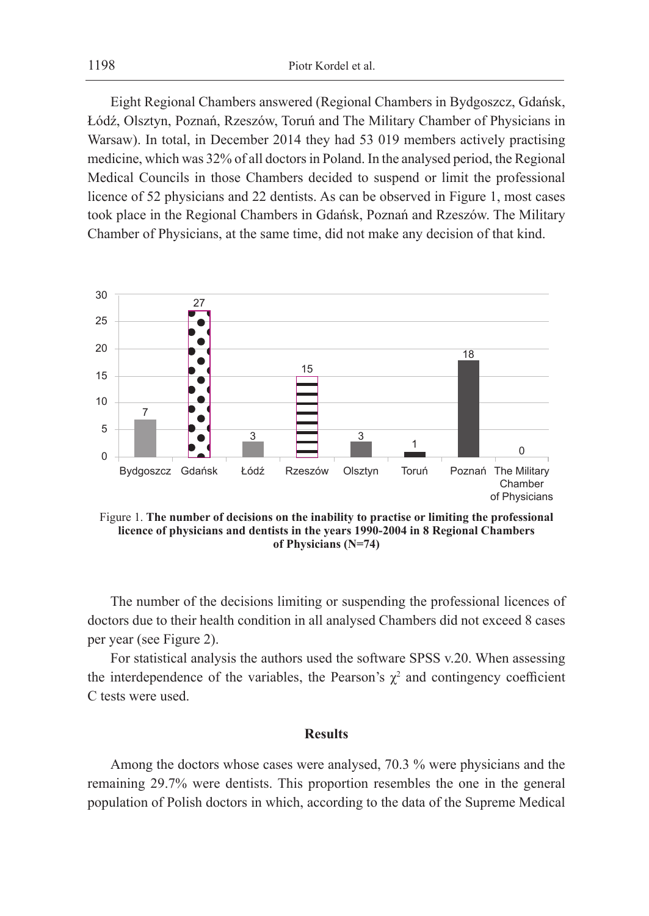1198 Piotr Kordel et al.

Eight Regional Chambers answered (Regional Chambers in Bydgoszcz, Gdańsk, Łódź, Olsztyn, Poznań, Rzeszów, Toruń and The Military Chamber of Physicians in Warsaw). In total, in December 2014 they had 53 019 members actively practising medicine, which was 32% of all doctors in Poland. In the analysed period, the Regional Medical Councils in those Chambers decided to suspend or limit the professional licence of 52 physicians and 22 dentists. As can be observed in Figure 1, most cases took place in the Regional Chambers in Gdańsk, Poznań and Rzeszów. The Military Chamber of Physicians, at the same time, did not make any decision of that kind.



Figure 1. **The number of decisions on the inability to practise or limiting the professional licence of physicians and dentists in the years 1990-2004 in 8 Regional Chambers of Physicians (N=74)**

The number of the decisions limiting or suspending the professional licences of doctors due to their health condition in all analysed Chambers did not exceed 8 cases per year (see Figure 2).

For statistical analysis the authors used the software SPSS v.20. When assessing the interdependence of the variables, the Pearson's  $\chi^2$  and contingency coefficient C tests were used.

## **Results**

Among the doctors whose cases were analysed, 70.3 % were physicians and the remaining 29.7% were dentists. This proportion resembles the one in the general population of Polish doctors in which, according to the data of the Supreme Medical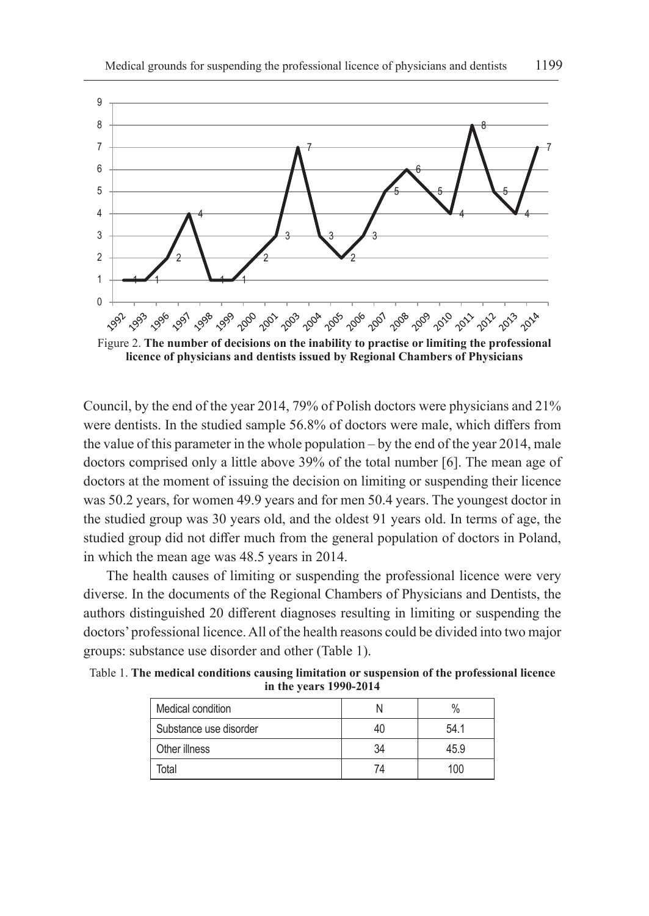

Figure 2. **The number of decisions on the inability to practise or limiting the professional licence of physicians and dentists issued by Regional Chambers of Physicians**

Council, by the end of the year 2014, 79% of Polish doctors were physicians and 21% were dentists. In the studied sample 56.8% of doctors were male, which differs from the value of this parameter in the whole population – by the end of the year 2014, male doctors comprised only a little above 39% of the total number [6]. The mean age of doctors at the moment of issuing the decision on limiting or suspending their licence was 50.2 years, for women 49.9 years and for men 50.4 years. The youngest doctor in the studied group was 30 years old, and the oldest 91 years old. In terms of age, the studied group did not differ much from the general population of doctors in Poland, in which the mean age was 48.5 years in 2014.

The health causes of limiting or suspending the professional licence were very diverse. In the documents of the Regional Chambers of Physicians and Dentists, the authors distinguished 20 different diagnoses resulting in limiting or suspending the doctors' professional licence. All of the health reasons could be divided into two major groups: substance use disorder and other (Table 1).

| Medical condition      |    | $\%$ |
|------------------------|----|------|
| Substance use disorder | 40 | 54.1 |
| Other illness          | 34 | 45.9 |
| Total                  | 74 | 100  |

Table 1. **The medical conditions causing limitation or suspension of the professional licence in the years 1990-2014**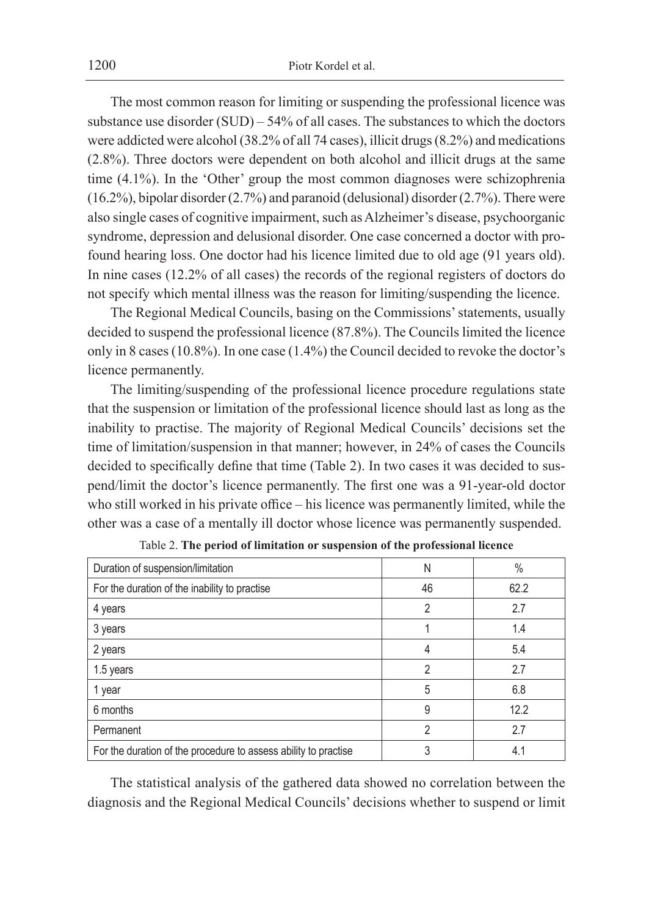The most common reason for limiting or suspending the professional licence was substance use disorder  $(SUD) - 54\%$  of all cases. The substances to which the doctors were addicted were alcohol (38.2% of all 74 cases), illicit drugs (8.2%) and medications (2.8%). Three doctors were dependent on both alcohol and illicit drugs at the same time (4.1%). In the 'Other' group the most common diagnoses were schizophrenia (16.2%), bipolar disorder (2.7%) and paranoid (delusional) disorder (2.7%). There were also single cases of cognitive impairment, such as Alzheimer's disease, psychoorganic syndrome, depression and delusional disorder. One case concerned a doctor with profound hearing loss. One doctor had his licence limited due to old age (91 years old). In nine cases (12.2% of all cases) the records of the regional registers of doctors do not specify which mental illness was the reason for limiting/suspending the licence.

The Regional Medical Councils, basing on the Commissions' statements, usually decided to suspend the professional licence (87.8%). The Councils limited the licence only in 8 cases (10.8%). In one case (1.4%) the Council decided to revoke the doctor's licence permanently.

The limiting/suspending of the professional licence procedure regulations state that the suspension or limitation of the professional licence should last as long as the inability to practise. The majority of Regional Medical Councils' decisions set the time of limitation/suspension in that manner; however, in 24% of cases the Councils decided to specifically define that time (Table 2). In two cases it was decided to suspend/limit the doctor's licence permanently. The first one was a 91-year-old doctor who still worked in his private office – his licence was permanently limited, while the other was a case of a mentally ill doctor whose licence was permanently suspended.

| Duration of suspension/limitation                               | N  | $\%$ |
|-----------------------------------------------------------------|----|------|
| For the duration of the inability to practise                   | 46 | 62.2 |
| 4 years                                                         | 2  | 2.7  |
| 3 years                                                         |    | 1.4  |
| 2 years                                                         | 4  | 5.4  |
| 1.5 years                                                       | 2  | 2.7  |
| 1 year                                                          | 5  | 6.8  |
| 6 months                                                        | 9  | 12.2 |
| Permanent                                                       | 2  | 2.7  |
| For the duration of the procedure to assess ability to practise | 3  | 4.1  |

Table 2. **The period of limitation or suspension of the professional licence**

The statistical analysis of the gathered data showed no correlation between the diagnosis and the Regional Medical Councils' decisions whether to suspend or limit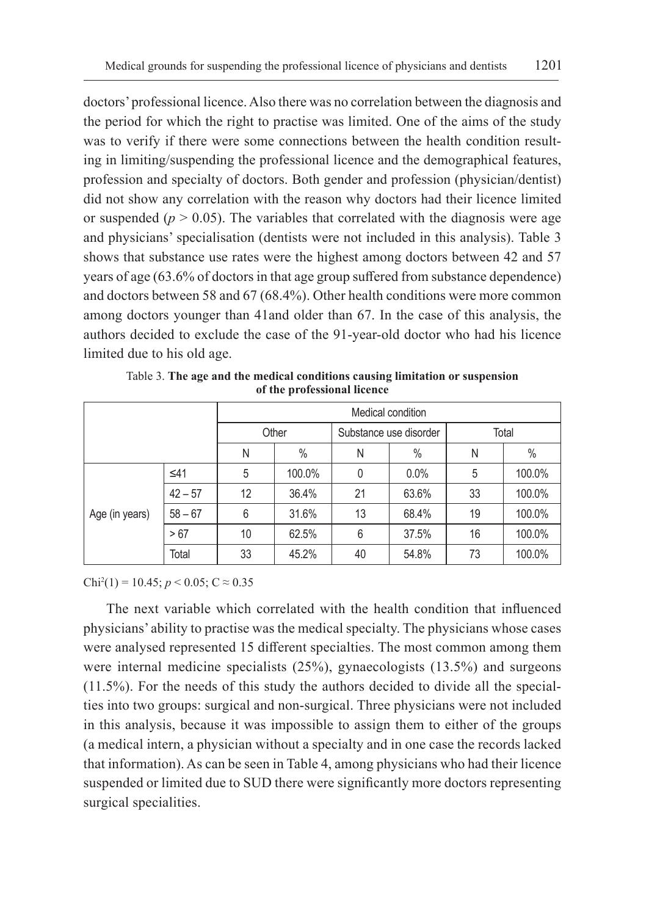doctors' professional licence. Also there was no correlation between the diagnosis and the period for which the right to practise was limited. One of the aims of the study was to verify if there were some connections between the health condition resulting in limiting/suspending the professional licence and the demographical features, profession and specialty of doctors. Both gender and profession (physician/dentist) did not show any correlation with the reason why doctors had their licence limited or suspended ( $p > 0.05$ ). The variables that correlated with the diagnosis were age and physicians' specialisation (dentists were not included in this analysis). Table 3 shows that substance use rates were the highest among doctors between 42 and 57 years of age (63.6% of doctors in that age group suffered from substance dependence) and doctors between 58 and 67 (68.4%). Other health conditions were more common among doctors younger than 41and older than 67. In the case of this analysis, the authors decided to exclude the case of the 91-year-old doctor who had his licence limited due to his old age.

|                |           | Medical condition |        |                        |       |       |               |
|----------------|-----------|-------------------|--------|------------------------|-------|-------|---------------|
|                |           | Other             |        | Substance use disorder |       | Total |               |
|                |           | N                 | $\%$   | Ν                      | $\%$  | Ν     | $\frac{0}{0}$ |
| Age (in years) | $\leq 41$ | 5                 | 100.0% | 0                      | 0.0%  | 5     | 100.0%        |
|                | $42 - 57$ | 12                | 36.4%  | 21                     | 63.6% | 33    | 100.0%        |
|                | $58 - 67$ | 6                 | 31.6%  | 13                     | 68.4% | 19    | 100.0%        |
|                | > 67      | 10                | 62.5%  | 6                      | 37.5% | 16    | 100.0%        |
|                | Total     | 33                | 45.2%  | 40                     | 54.8% | 73    | 100.0%        |

Table 3. **The age and the medical conditions causing limitation or suspension of the professional licence**

Chi<sup>2</sup>(1) = 10.45;  $p < 0.05$ ; C  $\approx 0.35$ 

The next variable which correlated with the health condition that influenced physicians' ability to practise was the medical specialty. The physicians whose cases were analysed represented 15 different specialties. The most common among them were internal medicine specialists (25%), gynaecologists (13.5%) and surgeons (11.5%). For the needs of this study the authors decided to divide all the specialties into two groups: surgical and non-surgical. Three physicians were not included in this analysis, because it was impossible to assign them to either of the groups (a medical intern, a physician without a specialty and in one case the records lacked that information). As can be seen in Table 4, among physicians who had their licence suspended or limited due to SUD there were significantly more doctors representing surgical specialities.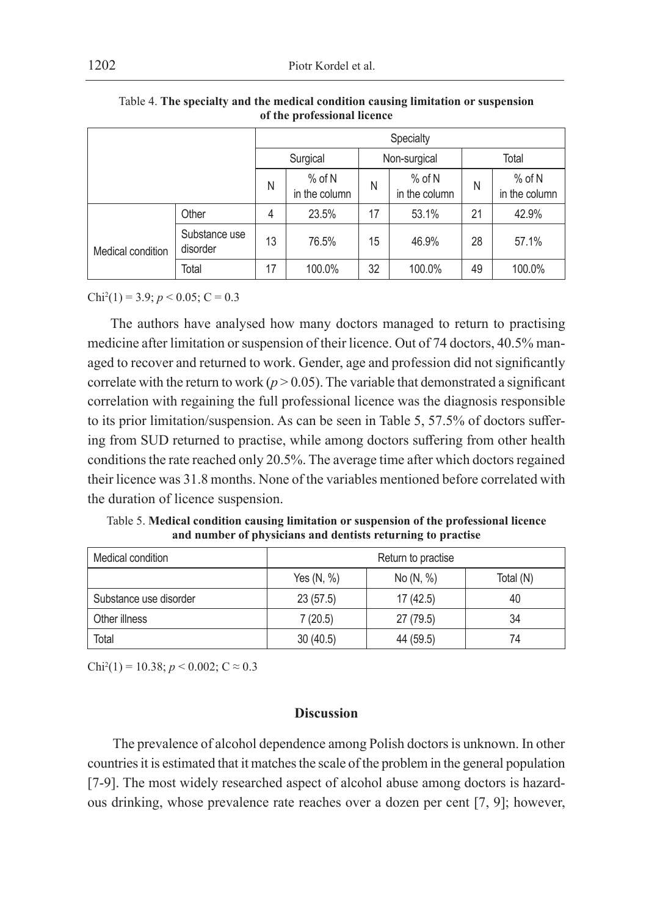|                   |                           | Specialty |                           |              |                           |       |                           |
|-------------------|---------------------------|-----------|---------------------------|--------------|---------------------------|-------|---------------------------|
|                   |                           | Surgical  |                           | Non-surgical |                           | Total |                           |
|                   |                           | N         | $%$ of N<br>in the column | N            | $%$ of N<br>in the column | N     | $%$ of N<br>in the column |
|                   | Other                     | 4         | 23.5%                     | 17           | 53.1%                     | 21    | 42.9%                     |
| Medical condition | Substance use<br>disorder | 13        | 76.5%                     | 15           | 46.9%                     | 28    | 57.1%                     |
|                   | Total                     | 17        | 100.0%                    | 32           | 100.0%                    | 49    | 100.0%                    |

Table 4. **The specialty and the medical condition causing limitation or suspension of the professional licence**

 $Chi<sup>2</sup>(1) = 3.9; p < 0.05; C = 0.3$ 

The authors have analysed how many doctors managed to return to practising medicine after limitation or suspension of their licence. Out of 74 doctors, 40.5% managed to recover and returned to work. Gender, age and profession did not significantly correlate with the return to work ( $p > 0.05$ ). The variable that demonstrated a significant correlation with regaining the full professional licence was the diagnosis responsible to its prior limitation/suspension. As can be seen in Table 5, 57.5% of doctors suffering from SUD returned to practise, while among doctors suffering from other health conditions the rate reached only 20.5%. The average time after which doctors regained their licence was 31.8 months. None of the variables mentioned before correlated with the duration of licence suspension.

Table 5. **Medical condition causing limitation or suspension of the professional licence and number of physicians and dentists returning to practise**

| Medical condition      | Return to practise |           |           |  |
|------------------------|--------------------|-----------|-----------|--|
|                        | Yes $(N, %)$       | No (N, %) | Total (N) |  |
| Substance use disorder | 23(57.5)           | 17(42.5)  | 40        |  |
| Other illness          | 7(20.5)            | 27 (79.5) | 34        |  |
| Total                  | 30(40.5)           | 44 (59.5) | 74        |  |

Chi<sup>2</sup>(1) = 10.38; *p* < 0.002; C  $\approx$  0.3

# **Discussion**

 The prevalence of alcohol dependence among Polish doctors is unknown. In other countries it is estimated that it matches the scale of the problem in the general population [7-9]. The most widely researched aspect of alcohol abuse among doctors is hazardous drinking, whose prevalence rate reaches over a dozen per cent [7, 9]; however,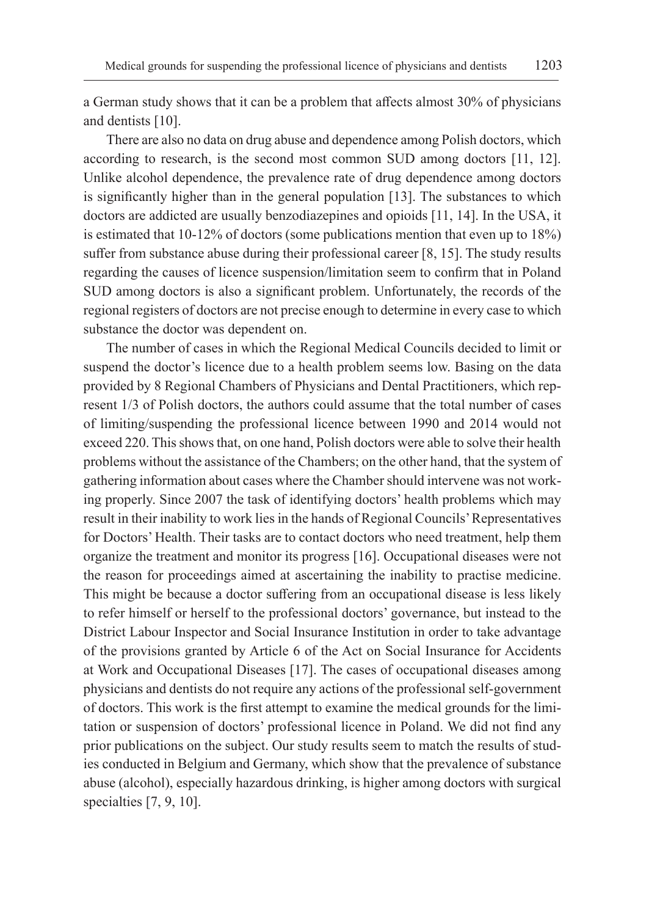a German study shows that it can be a problem that affects almost 30% of physicians and dentists [10].

There are also no data on drug abuse and dependence among Polish doctors, which according to research, is the second most common SUD among doctors [11, 12]. Unlike alcohol dependence, the prevalence rate of drug dependence among doctors is significantly higher than in the general population [13]. The substances to which doctors are addicted are usually benzodiazepines and opioids [11, 14]. In the USA, it is estimated that 10-12% of doctors (some publications mention that even up to 18%) suffer from substance abuse during their professional career [8, 15]. The study results regarding the causes of licence suspension/limitation seem to confirm that in Poland SUD among doctors is also a significant problem. Unfortunately, the records of the regional registers of doctors are not precise enough to determine in every case to which substance the doctor was dependent on.

The number of cases in which the Regional Medical Councils decided to limit or suspend the doctor's licence due to a health problem seems low. Basing on the data provided by 8 Regional Chambers of Physicians and Dental Practitioners, which represent 1/3 of Polish doctors, the authors could assume that the total number of cases of limiting/suspending the professional licence between 1990 and 2014 would not exceed 220. This shows that, on one hand, Polish doctors were able to solve their health problems without the assistance of the Chambers; on the other hand, that the system of gathering information about cases where the Chamber should intervene was not working properly. Since 2007 the task of identifying doctors' health problems which may result in their inability to work lies in the hands of Regional Councils' Representatives for Doctors' Health. Their tasks are to contact doctors who need treatment, help them organize the treatment and monitor its progress [16]. Occupational diseases were not the reason for proceedings aimed at ascertaining the inability to practise medicine. This might be because a doctor suffering from an occupational disease is less likely to refer himself or herself to the professional doctors' governance, but instead to the District Labour Inspector and Social Insurance Institution in order to take advantage of the provisions granted by Article 6 of the Act on Social Insurance for Accidents at Work and Occupational Diseases [17]. The cases of occupational diseases among physicians and dentists do not require any actions of the professional self-government of doctors. This work is the first attempt to examine the medical grounds for the limitation or suspension of doctors' professional licence in Poland. We did not find any prior publications on the subject. Our study results seem to match the results of studies conducted in Belgium and Germany, which show that the prevalence of substance abuse (alcohol), especially hazardous drinking, is higher among doctors with surgical specialties [7, 9, 10].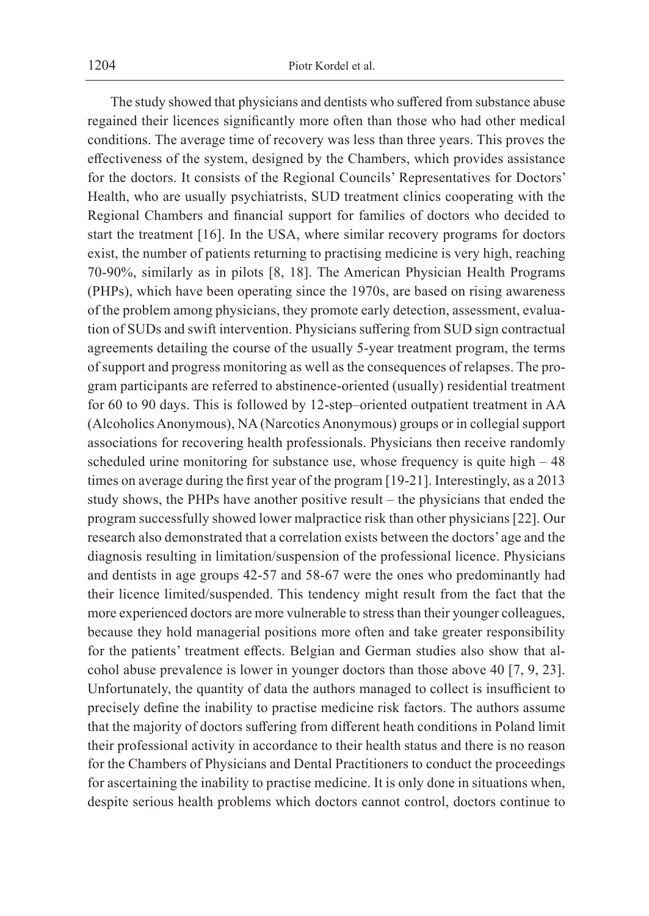The study showed that physicians and dentists who suffered from substance abuse regained their licences significantly more often than those who had other medical conditions. The average time of recovery was less than three years. This proves the effectiveness of the system, designed by the Chambers, which provides assistance for the doctors. It consists of the Regional Councils' Representatives for Doctors' Health, who are usually psychiatrists, SUD treatment clinics cooperating with the Regional Chambers and financial support for families of doctors who decided to start the treatment [16]. In the USA, where similar recovery programs for doctors exist, the number of patients returning to practising medicine is very high, reaching 70-90%, similarly as in pilots [8, 18]. The American Physician Health Programs (PHPs), which have been operating since the 1970s, are based on rising awareness of the problem among physicians, they promote early detection, assessment, evaluation of SUDs and swift intervention. Physicians suffering from SUD sign contractual agreements detailing the course of the usually 5-year treatment program, the terms of support and progress monitoring as well as the consequences of relapses. The program participants are referred to abstinence-oriented (usually) residential treatment for 60 to 90 days. This is followed by 12-step–oriented outpatient treatment in AA (Alcoholics Anonymous), NA (Narcotics Anonymous) groups or in collegial support associations for recovering health professionals. Physicians then receive randomly scheduled urine monitoring for substance use, whose frequency is quite high – 48 times on average during the first year of the program [19-21]. Interestingly, as a 2013 study shows, the PHPs have another positive result – the physicians that ended the program successfully showed lower malpractice risk than other physicians [22]. Our research also demonstrated that a correlation exists between the doctors' age and the diagnosis resulting in limitation/suspension of the professional licence. Physicians and dentists in age groups 42-57 and 58-67 were the ones who predominantly had their licence limited/suspended. This tendency might result from the fact that the more experienced doctors are more vulnerable to stress than their younger colleagues, because they hold managerial positions more often and take greater responsibility for the patients' treatment effects. Belgian and German studies also show that alcohol abuse prevalence is lower in younger doctors than those above 40 [7, 9, 23]. Unfortunately, the quantity of data the authors managed to collect is insufficient to precisely define the inability to practise medicine risk factors. The authors assume that the majority of doctors suffering from different heath conditions in Poland limit their professional activity in accordance to their health status and there is no reason for the Chambers of Physicians and Dental Practitioners to conduct the proceedings for ascertaining the inability to practise medicine. It is only done in situations when, despite serious health problems which doctors cannot control, doctors continue to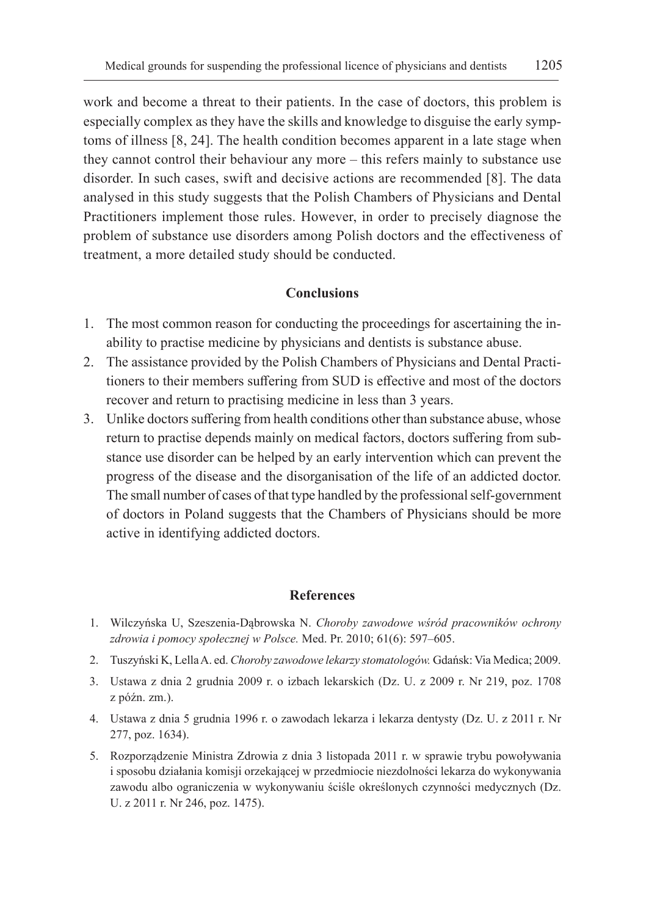work and become a threat to their patients. In the case of doctors, this problem is especially complex as they have the skills and knowledge to disguise the early symptoms of illness [8, 24]. The health condition becomes apparent in a late stage when they cannot control their behaviour any more – this refers mainly to substance use disorder. In such cases, swift and decisive actions are recommended [8]. The data analysed in this study suggests that the Polish Chambers of Physicians and Dental Practitioners implement those rules. However, in order to precisely diagnose the problem of substance use disorders among Polish doctors and the effectiveness of treatment, a more detailed study should be conducted.

#### **Conclusions**

- 1. The most common reason for conducting the proceedings for ascertaining the inability to practise medicine by physicians and dentists is substance abuse.
- 2. The assistance provided by the Polish Chambers of Physicians and Dental Practitioners to their members suffering from SUD is effective and most of the doctors recover and return to practising medicine in less than 3 years.
- 3. Unlike doctors suffering from health conditions other than substance abuse, whose return to practise depends mainly on medical factors, doctors suffering from substance use disorder can be helped by an early intervention which can prevent the progress of the disease and the disorganisation of the life of an addicted doctor. The small number of cases of that type handled by the professional self-government of doctors in Poland suggests that the Chambers of Physicians should be more active in identifying addicted doctors.

#### **References**

- 1. Wilczyńska U, Szeszenia-Dąbrowska N. *Choroby zawodowe wśród pracowników ochrony zdrowia i pomocy społecznej w Polsce.* Med. Pr. 2010; 61(6): 597–605.
- 2. Tuszyński K, Lella A. ed. *Choroby zawodowe lekarzy stomatologów.* Gdańsk: Via Medica; 2009.
- 3. Ustawa z dnia 2 grudnia 2009 r. o izbach lekarskich (Dz. U. z 2009 r. Nr 219, poz. 1708 z późn. zm.).
- 4. Ustawa z dnia 5 grudnia 1996 r. o zawodach lekarza i lekarza dentysty (Dz. U. z 2011 r. Nr 277, poz. 1634).
- 5. Rozporządzenie Ministra Zdrowia z dnia 3 listopada 2011 r. w sprawie trybu powoływania i sposobu działania komisji orzekającej w przedmiocie niezdolności lekarza do wykonywania zawodu albo ograniczenia w wykonywaniu ściśle określonych czynności medycznych (Dz. U. z 2011 r. Nr 246, poz. 1475).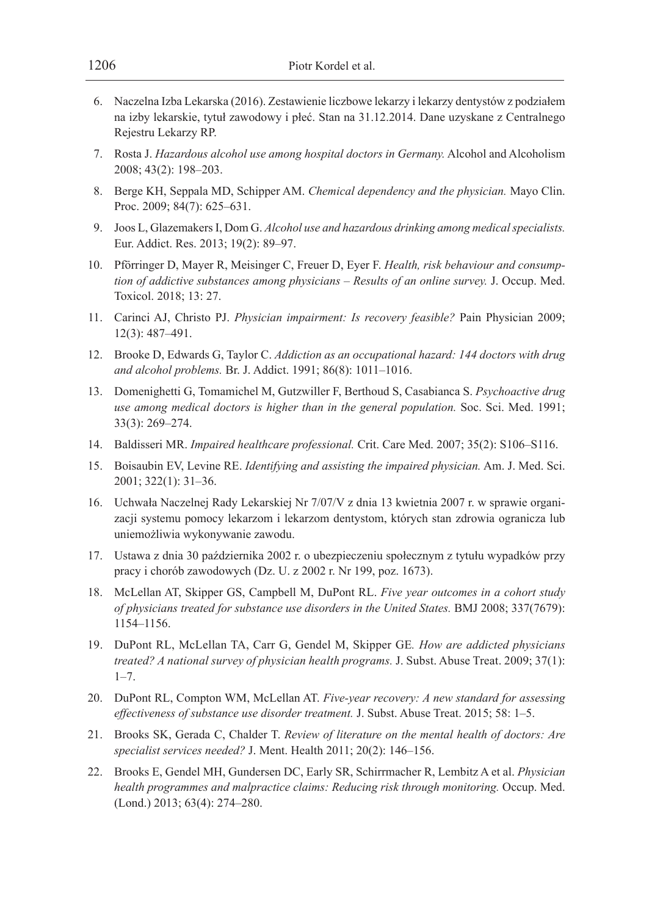- 6. Naczelna Izba Lekarska (2016). Zestawienie liczbowe lekarzy i lekarzy dentystów z podziałem na izby lekarskie, tytuł zawodowy i płeć. Stan na 31.12.2014. Dane uzyskane z Centralnego Rejestru Lekarzy RP.
- 7. Rosta J. *Hazardous alcohol use among hospital doctors in Germany.* Alcohol and Alcoholism 2008; 43(2): 198–203.
- 8. Berge KH, Seppala MD, Schipper AM. *Chemical dependency and the physician.* Mayo Clin. Proc. 2009; 84(7): 625–631.
- 9. Joos L, Glazemakers I, Dom G. *Alcohol use and hazardous drinking among medical specialists.* Eur. Addict. Res. 2013; 19(2): 89–97.
- 10. Pförringer D, Mayer R, Meisinger C, Freuer D, Eyer F. *Health, risk behaviour and consumption of addictive substances among physicians – Results of an online survey.* J. Occup. Med. Toxicol. 2018; 13: 27.
- 11. Carinci AJ, Christo PJ. *Physician impairment: Is recovery feasible?* Pain Physician 2009; 12(3): 487–491.
- 12. Brooke D, Edwards G, Taylor C. *Addiction as an occupational hazard: 144 doctors with drug and alcohol problems.* Br. J. Addict. 1991; 86(8): 1011–1016.
- 13. Domenighetti G, Tomamichel M, Gutzwiller F, Berthoud S, Casabianca S. *Psychoactive drug use among medical doctors is higher than in the general population.* Soc. Sci. Med. 1991; 33(3): 269–274.
- 14. Baldisseri MR. *Impaired healthcare professional.* Crit. Care Med. 2007; 35(2): S106–S116.
- 15. Boisaubin EV, Levine RE. *Identifying and assisting the impaired physician.* Am. J. Med. Sci. 2001; 322(1): 31–36.
- 16. Uchwała Naczelnej Rady Lekarskiej Nr 7/07/V z dnia 13 kwietnia 2007 r. w sprawie organizacji systemu pomocy lekarzom i lekarzom dentystom, których stan zdrowia ogranicza lub uniemożliwia wykonywanie zawodu.
- 17. Ustawa z dnia 30 października 2002 r. o ubezpieczeniu społecznym z tytułu wypadków przy pracy i chorób zawodowych (Dz. U. z 2002 r. Nr 199, poz. 1673).
- 18. McLellan AT, Skipper GS, Campbell M, DuPont RL. *Five year outcomes in a cohort study of physicians treated for substance use disorders in the United States.* BMJ 2008; 337(7679): 1154–1156.
- 19. DuPont RL, McLellan TA, Carr G, Gendel M, Skipper GE*. How are addicted physicians treated? A national survey of physician health programs.* J. Subst. Abuse Treat. 2009; 37(1): 1–7.
- 20. DuPont RL, Compton WM, McLellan AT. *Five-year recovery: A new standard for assessing effectiveness of substance use disorder treatment.* J. Subst. Abuse Treat. 2015; 58: 1–5.
- 21. Brooks SK, Gerada C, Chalder T. *Review of literature on the mental health of doctors: Are specialist services needed?* J. Ment. Health 2011; 20(2): 146–156.
- 22. Brooks E, Gendel MH, Gundersen DC, Early SR, Schirrmacher R, Lembitz A et al. *Physician health programmes and malpractice claims: Reducing risk through monitoring.* Occup. Med. (Lond.) 2013; 63(4): 274–280.